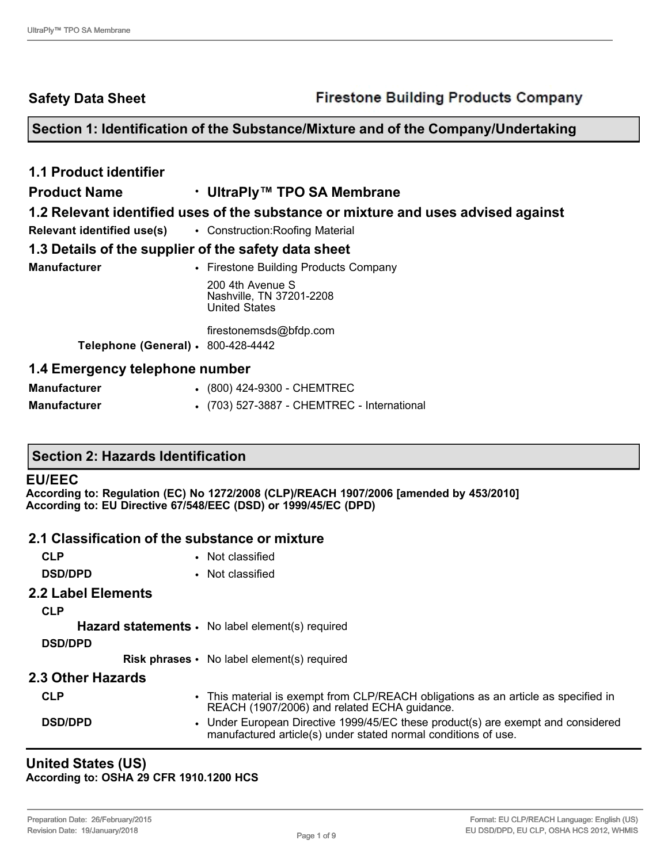**Safety Data Sheet**

# **Section 1: Identification of the Substance/Mixture and of the Company/Undertaking**

| <b>1.1 Product identifier</b>                                      |                                                                                   |
|--------------------------------------------------------------------|-----------------------------------------------------------------------------------|
| <b>Product Name</b>                                                | • UltraPly™ TPO SA Membrane                                                       |
|                                                                    | 1.2 Relevant identified uses of the substance or mixture and uses advised against |
| <b>Relevant identified use(s)</b> . Construction: Roofing Material |                                                                                   |
| 1.3 Details of the supplier of the safety data sheet               |                                                                                   |
| <b>Manufacturer</b>                                                | • Firestone Building Products Company                                             |
|                                                                    | 200 4th Avenue S<br>Nashville, TN 37201-2208<br><b>United States</b>              |
|                                                                    | firestonemsds@bfdp.com                                                            |
| Telephone (General) · 800-428-4442                                 |                                                                                   |
| 1.4 Emergency telephone number                                     |                                                                                   |
| <b>Manufacturer</b>                                                | (800) 424-9300 - CHEMTREC                                                         |

**Manufacturer** • (703) 527-3887 - CHEMTREC - International

# **Section 2: Hazards Identification**

#### **EU/EEC**

**According to: Regulation (EC) No 1272/2008 (CLP)/REACH 1907/2006 [amended by 453/2010] According to: EU Directive 67/548/EEC (DSD) or 1999/45/EC (DPD)** 

#### **2.1 Classification of the substance or mixture**

| <b>CLP</b>                | • Not classified                                                                                                                                   |
|---------------------------|----------------------------------------------------------------------------------------------------------------------------------------------------|
| <b>DSD/DPD</b>            | • Not classified                                                                                                                                   |
| <b>2.2 Label Elements</b> |                                                                                                                                                    |
| <b>CLP</b>                |                                                                                                                                                    |
|                           | <b>Hazard statements <math>\cdot</math></b> No label element(s) required                                                                           |
| <b>DSD/DPD</b>            |                                                                                                                                                    |
|                           | <b>Risk phrases •</b> No label element(s) required                                                                                                 |
| 2.3 Other Hazards         |                                                                                                                                                    |
| <b>CLP</b>                | • This material is exempt from CLP/REACH obligations as an article as specified in<br>REACH (1907/2006) and related ECHA guidance.                 |
| <b>DSD/DPD</b>            | • Under European Directive 1999/45/EC these product(s) are exempt and considered<br>manufactured article(s) under stated normal conditions of use. |

#### **United States (US) According to: OSHA 29 CFR 1910.1200 HCS**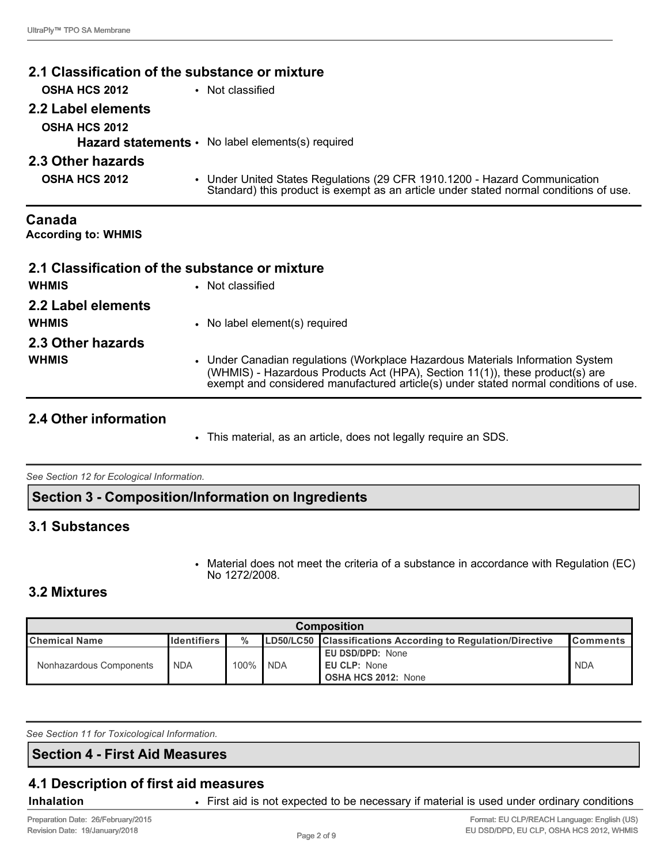| 2.1 Classification of the substance or mixture    |                  |                                                                                                                                                                     |
|---------------------------------------------------|------------------|---------------------------------------------------------------------------------------------------------------------------------------------------------------------|
| <b>OSHA HCS 2012</b>                              | • Not classified |                                                                                                                                                                     |
| 2.2 Label elements                                |                  |                                                                                                                                                                     |
| <b>OSHA HCS 2012</b>                              |                  |                                                                                                                                                                     |
| Hazard statements · No label elements(s) required |                  |                                                                                                                                                                     |
| 2.3 Other hazards                                 |                  |                                                                                                                                                                     |
| <b>OSHA HCS 2012</b>                              |                  | • Under United States Regulations (29 CFR 1910.1200 - Hazard Communication<br>Standard) this product is exempt as an article under stated normal conditions of use. |

**Canada According to: WHMIS** 

|                    | 2.1 Classification of the substance or mixture |
|--------------------|------------------------------------------------|
| <b>WHMIS</b>       | • Not classified                               |
| 2.2 Label elements |                                                |
| <b>WHMIS</b>       | • No label element(s) required                 |
| 2.3 Other hazards  |                                                |

**WHMIS** • Under Canadian regulations (Workplace Hazardous Materials Information System (WHMIS) - Hazardous Products Act (HPA), Section 11(1)), these product(s) are exempt and considered manufactured article(s) under stated normal conditions of use.

# **2.4 Other information**

• This material, as an article, does not legally require an SDS.

*See Section 12 for Ecological Information.* 

**Section 3 - Composition/Information on Ingredients**

# **3.1 Substances**

• Material does not meet the criteria of a substance in accordance with Regulation (EC) No 1272/2008.

# **3.2 Mixtures**

| <b>Composition</b>                                                                                                                                    |            |           |            |                                                                       |            |
|-------------------------------------------------------------------------------------------------------------------------------------------------------|------------|-----------|------------|-----------------------------------------------------------------------|------------|
| $\frac{0}{0}$<br><b>LD50/LC50</b> Classifications According to Regulation/Directive<br><b>Identifiers</b><br><b>Chemical Name</b><br><b>IComments</b> |            |           |            |                                                                       |            |
| Nonhazardous Components                                                                                                                               | <b>NDA</b> | $100\%$ . | <b>NDA</b> | <b>EU DSD/DPD: None</b><br>EU CLP: None<br><b>OSHA HCS 2012: None</b> | <b>NDA</b> |

*See Section 11 for Toxicological Information.* 

#### **Section 4 - First Aid Measures**

# **4.1 Description of first aid measures**

**Inhalation** • First aid is not expected to be necessary if material is used under ordinary conditions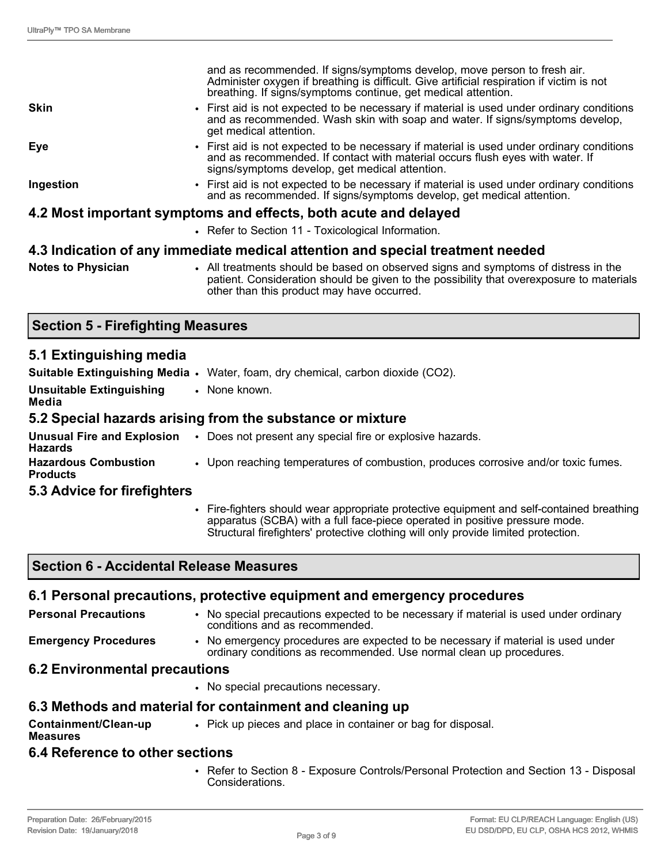|                                                                 | and as recommended. If signs/symptoms develop, move person to fresh air.<br>Administer oxygen if breathing is difficult. Give artificial respiration if victim is not<br>breathing. If signs/symptoms continue, get medical attention. |  |  |
|-----------------------------------------------------------------|----------------------------------------------------------------------------------------------------------------------------------------------------------------------------------------------------------------------------------------|--|--|
| <b>Skin</b>                                                     | • First aid is not expected to be necessary if material is used under ordinary conditions<br>and as recommended. Wash skin with soap and water. If signs/symptoms develop,<br>get medical attention.                                   |  |  |
| Eye                                                             | • First aid is not expected to be necessary if material is used under ordinary conditions<br>and as recommended. If contact with material occurs flush eyes with water. If<br>signs/symptoms develop, get medical attention.           |  |  |
| Ingestion                                                       | • First aid is not expected to be necessary if material is used under ordinary conditions<br>and as recommended. If signs/symptoms develop, get medical attention.                                                                     |  |  |
| 4.2 Most important symptoms and effects, both acute and delayed |                                                                                                                                                                                                                                        |  |  |
|                                                                 | • Refer to Section 11 - Toxicological Information.                                                                                                                                                                                     |  |  |

#### **4.3 Indication of any immediate medical attention and special treatment needed**

| <b>Notes to Physician</b> |  |
|---------------------------|--|
|---------------------------|--|

• All treatments should be based on observed signs and symptoms of distress in the patient. Consideration should be given to the possibility that overexposure to materials other than this product may have occurred.

# **Section 5 - Firefighting Measures**

# **5.1 Extinguishing media**

|                                                | <b>Suitable Extinguishing Media •</b> Water, foam, dry chemical, carbon dioxide (CO2). |
|------------------------------------------------|----------------------------------------------------------------------------------------|
| <b>Unsuitable Extinguishing</b><br>Media       | • None known.                                                                          |
|                                                | 5.2 Special hazards arising from the substance or mixture                              |
| <b>Hazards</b>                                 | Unusual Fire and Explosion . Does not present any special fire or explosive hazards.   |
| <b>Hazardous Combustion</b><br><b>Products</b> | • Upon reaching temperatures of combustion, produces corrosive and/or toxic fumes.     |
| 5.3 Advice for firefighters                    |                                                                                        |

• Fire-fighters should wear appropriate protective equipment and self-contained breathing apparatus (SCBA) with a full face-piece operated in positive pressure mode. Structural firefighters' protective clothing will only provide limited protection.

# **Section 6 - Accidental Release Measures**

#### **6.1 Personal precautions, protective equipment and emergency procedures Personal Precautions** • No special precautions expected to be necessary if material is used under ordinary conditions and as recommended. **Emergency Procedures** • No emergency procedures are expected to be necessary if material is used under ordinary conditions as recommended. Use normal clean up procedures. **6.2 Environmental precautions** • No special precautions necessary. **6.3 Methods and material for containment and cleaning up Containment/Clean-up Measures** • Pick up pieces and place in container or bag for disposal.

#### **6.4 Reference to other sections**

• Refer to Section 8 - Exposure Controls/Personal Protection and Section 13 - Disposal Considerations.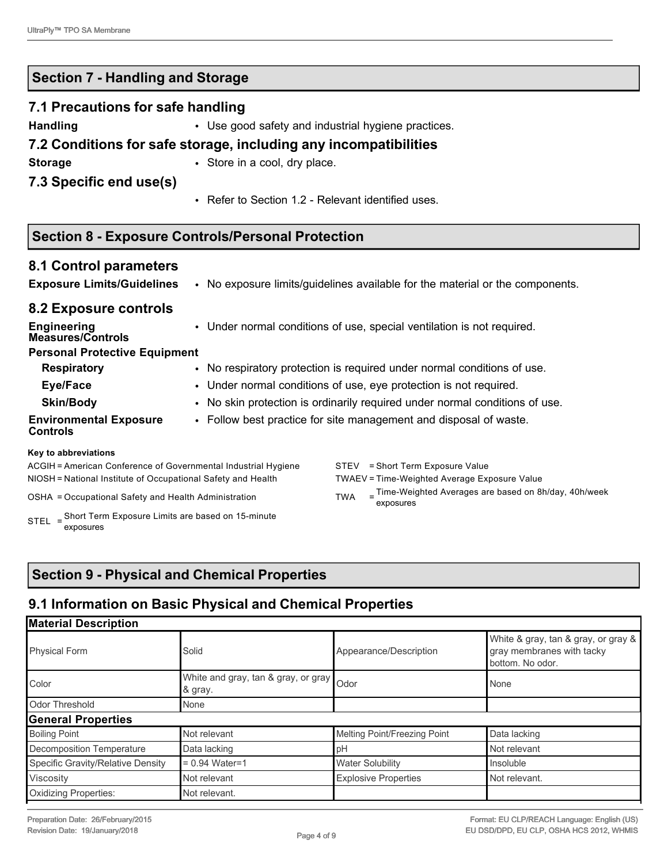# **Section 7 - Handling and Storage**

#### **7.1 Precautions for safe handling**

**Handling • Use good safety and industrial hygiene practices.** 

# **7.2 Conditions for safe storage, including any incompatibilities**

**Storage • Store in a cool, dry place.** 

# **7.3 Specific end use(s)**

• Refer to Section 1.2 - Relevant identified uses.

# **Section 8 - Exposure Controls/Personal Protection**

# **8.1 Control parameters**

| <b>Exposure Limits/Guidelines</b> |  | No exposure limits/guidelines available for the material or the components. |
|-----------------------------------|--|-----------------------------------------------------------------------------|
|-----------------------------------|--|-----------------------------------------------------------------------------|

# **8.2 Exposure controls**

| <b>Engineering</b><br><b>Measures/Controls</b>                                                |  | • Under normal conditions of use, special ventilation is not required.                                                                           |  |  |  |
|-----------------------------------------------------------------------------------------------|--|--------------------------------------------------------------------------------------------------------------------------------------------------|--|--|--|
| <b>Personal Protective Equipment</b>                                                          |  |                                                                                                                                                  |  |  |  |
| <b>Respiratory</b><br>• No respiratory protection is required under normal conditions of use. |  |                                                                                                                                                  |  |  |  |
| Eye/Face                                                                                      |  | • Under normal conditions of use, eye protection is not required.<br>• No skin protection is ordinarily required under normal conditions of use. |  |  |  |
| <b>Skin/Body</b>                                                                              |  |                                                                                                                                                  |  |  |  |
| <b>Environmental Exposure</b><br><b>Controls</b>                                              |  | • Follow best practice for site management and disposal of waste.                                                                                |  |  |  |
| Key to abbreviations                                                                          |  |                                                                                                                                                  |  |  |  |
| ACGIH = American Conference of Governmental Industrial Hygiene                                |  | = Short Term Exposure Value<br>STEV                                                                                                              |  |  |  |
| NIOSH = National Institute of Occupational Safety and Health                                  |  | TWAEV = Time-Weighted Average Exposure Value                                                                                                     |  |  |  |

OSHA = Occupational Safety and Health Administration TWA

STEL = Short Term Exposure Limits are based on 15-minute exposures

 $=$  Time-Weighted Averages are based on 8h/day, 40h/week exposures

# **Section 9 - Physical and Chemical Properties**

# **9.1 Information on Basic Physical and Chemical Properties**

| <b>Material Description</b>       |                                                       |                              |                                                                                      |  |  |  |  |
|-----------------------------------|-------------------------------------------------------|------------------------------|--------------------------------------------------------------------------------------|--|--|--|--|
| <b>Physical Form</b>              | Solid                                                 | Appearance/Description       | White & gray, tan & gray, or gray &<br>gray membranes with tacky<br>bottom. No odor. |  |  |  |  |
| Color                             | White and gray, tan & gray, or gray   Odor<br>& gray. |                              | None                                                                                 |  |  |  |  |
| <b>Odor Threshold</b>             | None                                                  |                              |                                                                                      |  |  |  |  |
| <b>General Properties</b>         |                                                       |                              |                                                                                      |  |  |  |  |
| <b>Boiling Point</b>              | Not relevant                                          | Melting Point/Freezing Point | Data lacking                                                                         |  |  |  |  |
| Decomposition Temperature         | Data lacking                                          | pH                           | Not relevant                                                                         |  |  |  |  |
| Specific Gravity/Relative Density | $= 0.94$ Water=1                                      | <b>Water Solubility</b>      | Insoluble                                                                            |  |  |  |  |
| Viscosity                         | Not relevant                                          | <b>Explosive Properties</b>  | Not relevant.                                                                        |  |  |  |  |
| <b>Oxidizing Properties:</b>      | Not relevant.                                         |                              |                                                                                      |  |  |  |  |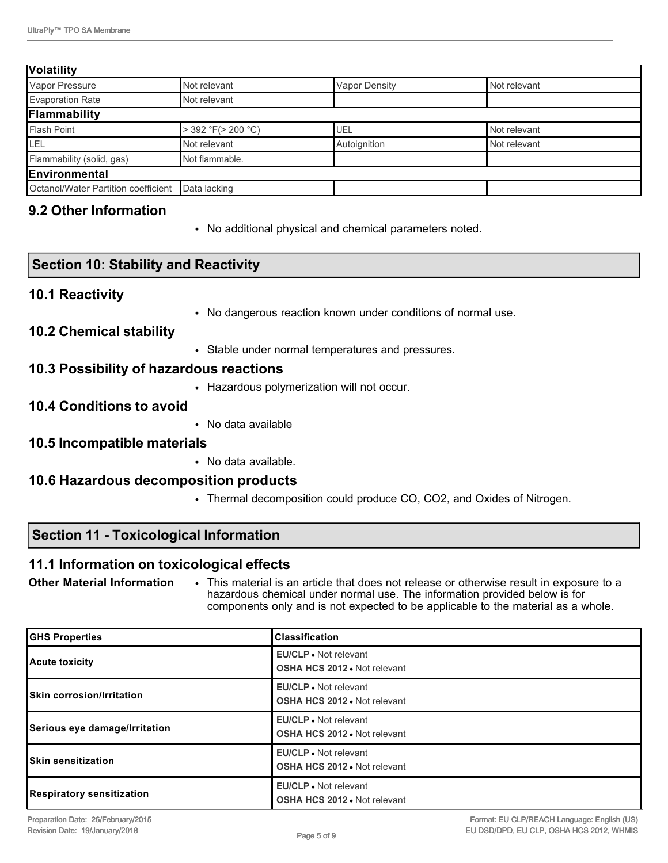#### **Volatility**

| Vapor Pressure                      | Not relevant            | <b>Vapor Density</b> | Not relevant |
|-------------------------------------|-------------------------|----------------------|--------------|
| Evaporation Rate                    | Not relevant            |                      |              |
| Flammability                        |                         |                      |              |
| <b>Flash Point</b>                  | $>$ 392 °F( $>$ 200 °C) | UEL                  | Not relevant |
| Ilel                                | Not relevant            | Autoignition         | Not relevant |
| Flammability (solid, gas)           | Not flammable.          |                      |              |
| Environmental                       |                         |                      |              |
| Octanol/Water Partition coefficient | Data lacking            |                      |              |
|                                     |                         |                      |              |

# **9.2 Other Information**

• No additional physical and chemical parameters noted.

# **Section 10: Stability and Reactivity**

#### **10.1 Reactivity**

• No dangerous reaction known under conditions of normal use.

# **10.2 Chemical stability**

• Stable under normal temperatures and pressures.

# **10.3 Possibility of hazardous reactions**

• Hazardous polymerization will not occur.

#### **10.4 Conditions to avoid**

• No data available

#### **10.5 Incompatible materials**

• No data available.

# **10.6 Hazardous decomposition products**

• Thermal decomposition could produce CO, CO2, and Oxides of Nitrogen.

# **Section 11 - Toxicological Information**

#### **11.1 Information on toxicological effects**

**Other Material Information** • This material is an article that does not release or otherwise result in exposure to a hazardous chemical under normal use. The information provided below is for components only and is not expected to be applicable to the material as a whole.

| <b>GHS Properties</b>            | <b>Classification</b>                                               |
|----------------------------------|---------------------------------------------------------------------|
| Acute toxicity                   | <b>EU/CLP</b> • Not relevant<br><b>OSHA HCS 2012 • Not relevant</b> |
| <b>Skin corrosion/Irritation</b> | <b>EU/CLP</b> . Not relevant<br><b>OSHA HCS 2012 • Not relevant</b> |
| Serious eye damage/Irritation    | <b>EU/CLP</b> • Not relevant<br><b>OSHA HCS 2012 • Not relevant</b> |
| <b>ISkin sensitization</b>       | <b>EU/CLP</b> . Not relevant<br><b>OSHA HCS 2012 • Not relevant</b> |
| Respiratory sensitization        | <b>EU/CLP</b> • Not relevant<br><b>OSHA HCS 2012 • Not relevant</b> |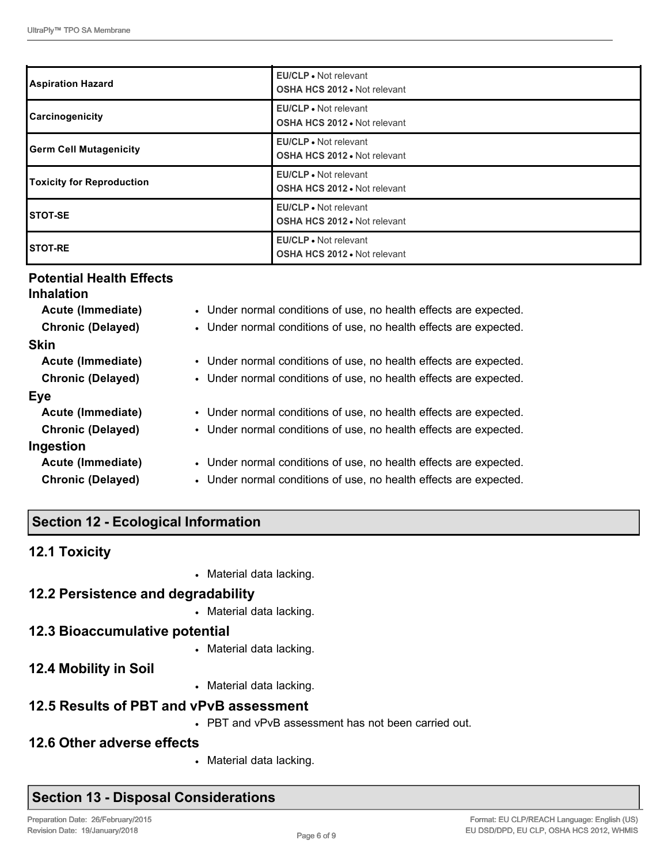| <b>Aspiration Hazard</b>         | <b>EU/CLP</b> • Not relevant<br><b>OSHA HCS 2012 • Not relevant</b> |
|----------------------------------|---------------------------------------------------------------------|
| Carcinogenicity                  | <b>EU/CLP</b> • Not relevant<br><b>OSHA HCS 2012 . Not relevant</b> |
| <b>Germ Cell Mutagenicity</b>    | EU/CLP • Not relevant<br><b>OSHA HCS 2012 • Not relevant</b>        |
| <b>Toxicity for Reproduction</b> | EU/CLP • Not relevant<br><b>OSHA HCS 2012 . Not relevant</b>        |
| <b>STOT-SE</b>                   | EU/CLP • Not relevant<br><b>OSHA HCS 2012 • Not relevant</b>        |
| <b>STOT-RE</b>                   | <b>EU/CLP</b> • Not relevant<br><b>OSHA HCS 2012 • Not relevant</b> |

# **Potential Health Effects**

| <b>Inhalation</b>        |                                                                   |
|--------------------------|-------------------------------------------------------------------|
| Acute (Immediate)        | • Under normal conditions of use, no health effects are expected. |
| <b>Chronic (Delayed)</b> | • Under normal conditions of use, no health effects are expected. |
| <b>Skin</b>              |                                                                   |
| Acute (Immediate)        | • Under normal conditions of use, no health effects are expected. |
| <b>Chronic (Delayed)</b> | • Under normal conditions of use, no health effects are expected. |
| Eye                      |                                                                   |
| Acute (Immediate)        | • Under normal conditions of use, no health effects are expected. |
| <b>Chronic (Delayed)</b> | • Under normal conditions of use, no health effects are expected. |
| Ingestion                |                                                                   |
| Acute (Immediate)        | • Under normal conditions of use, no health effects are expected. |
| <b>Chronic (Delayed)</b> | • Under normal conditions of use, no health effects are expected. |

# **Section 12 - Ecological Information**

# **12.1 Toxicity**

• Material data lacking.

# **12.2 Persistence and degradability**

• Material data lacking.

# **12.3 Bioaccumulative potential**

- Material data lacking.
- **12.4 Mobility in Soil**
- Material data lacking.

# **12.5 Results of PBT and vPvB assessment**

• PBT and vPvB assessment has not been carried out.

# **12.6 Other adverse effects**

• Material data lacking.

# **Section 13 - Disposal Considerations**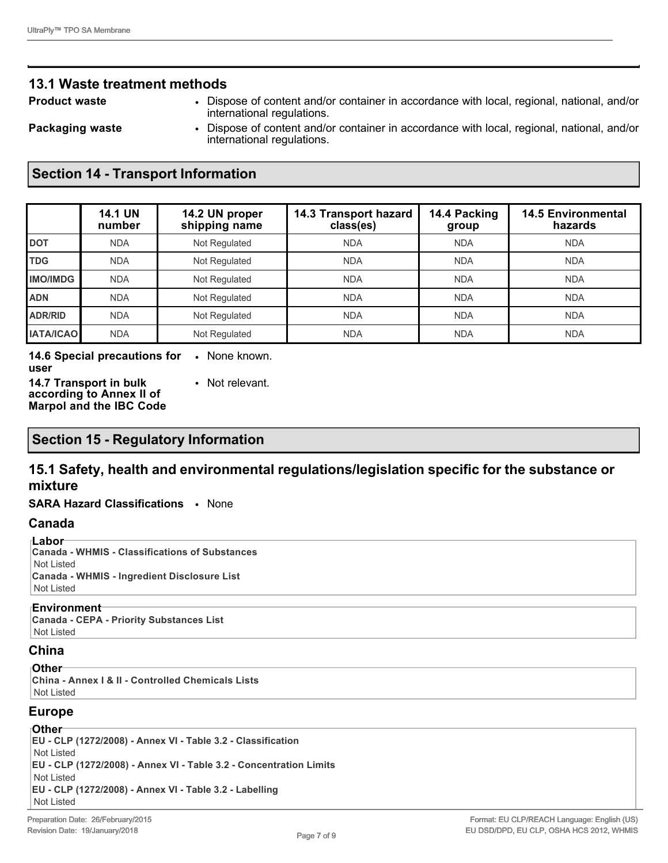# **13.1 Waste treatment methods**

- 
- **Product waste** Dispose of content and/or container in accordance with local, regional, national, and/or international regulations.

- 
- **Packaging waste** Dispose of content and/or container in accordance with local, regional, national, and/or international regulations.

# **Section 14 - Transport Information**

|                  | <b>14.1 UN</b><br>number | 14.2 UN proper<br>shipping name | 14.3 Transport hazard<br>class(es) | 14.4 Packing<br>group | <b>14.5 Environmental</b><br>hazards |
|------------------|--------------------------|---------------------------------|------------------------------------|-----------------------|--------------------------------------|
| <b>DOT</b>       | <b>NDA</b>               | Not Regulated                   | <b>NDA</b>                         | <b>NDA</b>            | <b>NDA</b>                           |
| <b>TDG</b>       | <b>NDA</b>               | Not Regulated                   | <b>NDA</b>                         | <b>NDA</b>            | <b>NDA</b>                           |
| <b>IMO/IMDG</b>  | <b>NDA</b>               | Not Regulated                   | <b>NDA</b>                         | <b>NDA</b>            | <b>NDA</b>                           |
| <b>ADN</b>       | <b>NDA</b>               | Not Regulated                   | <b>NDA</b>                         | <b>NDA</b>            | <b>NDA</b>                           |
| <b>ADR/RID</b>   | <b>NDA</b>               | Not Regulated                   | <b>NDA</b>                         | <b>NDA</b>            | <b>NDA</b>                           |
| <b>IATA/ICAO</b> | <b>NDA</b>               | Not Regulated                   | <b>NDA</b>                         | <b>NDA</b>            | <b>NDA</b>                           |

**14.6 Special precautions for**  • None known. **user 14.7 Transport in bulk**  • Not relevant.

**according to Annex II of Marpol and the IBC Code**

# **Section 15 - Regulatory Information**

# **15.1 Safety, health and environmental regulations/legislation specific for the substance or mixture**

**SARA Hazard Classifications** • None

#### **Canada**

#### **Labor**

**Canada - WHMIS - Classifications of Substances** Not Listed **Canada - WHMIS - Ingredient Disclosure List** Not Listed

#### **Environment**

**Canada - CEPA - Priority Substances List** Not Listed

#### **China**

#### **Other**

**China - Annex I & II - Controlled Chemicals Lists** Not Listed

#### **Europe**

# **Other**

**EU - CLP (1272/2008) - Annex VI - Table 3.2 - Classification** Not Listed **EU - CLP (1272/2008) - Annex VI - Table 3.2 - Concentration Limits** Not Listed **EU - CLP (1272/2008) - Annex VI - Table 3.2 - Labelling** Not Listed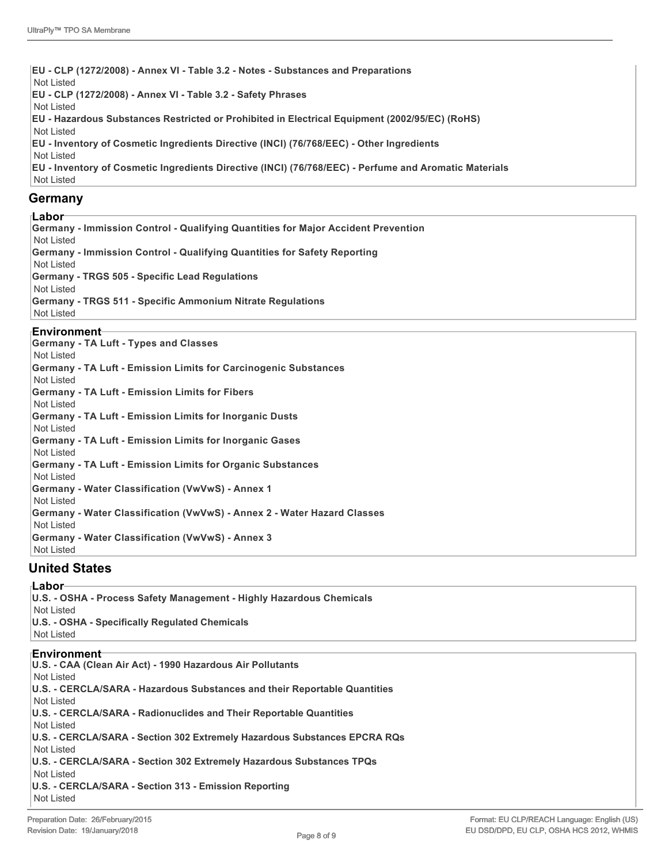**EU - CLP (1272/2008) - Annex VI - Table 3.2 - Notes - Substances and Preparations** Not Listed **EU - CLP (1272/2008) - Annex VI - Table 3.2 - Safety Phrases** Not Listed **EU - Hazardous Substances Restricted or Prohibited in Electrical Equipment (2002/95/EC) (RoHS)** Not Listed **EU - Inventory of Cosmetic Ingredients Directive (INCI) (76/768/EEC) - Other Ingredients** Not Listed **EU - Inventory of Cosmetic Ingredients Directive (INCI) (76/768/EEC) - Perfume and Aromatic Materials** Not Listed

#### **Germany**

#### **Labor**

**Germany - Immission Control - Qualifying Quantities for Major Accident Prevention** Not Listed **Germany - Immission Control - Qualifying Quantities for Safety Reporting** Not Listed **Germany - TRGS 505 - Specific Lead Regulations** Not Listed **Germany - TRGS 511 - Specific Ammonium Nitrate Regulations** Not Listed

#### **Environment**

**Germany - TA Luft - Types and Classes** Not Listed **Germany - TA Luft - Emission Limits for Carcinogenic Substances** Not Listed **Germany - TA Luft - Emission Limits for Fibers** Not Listed **Germany - TA Luft - Emission Limits for Inorganic Dusts** Not Listed **Germany - TA Luft - Emission Limits for Inorganic Gases** Not Listed **Germany - TA Luft - Emission Limits for Organic Substances** Not Listed **Germany - Water Classification (VwVwS) - Annex 1** Not Listed **Germany - Water Classification (VwVwS) - Annex 2 - Water Hazard Classes** Not Listed **Germany - Water Classification (VwVwS) - Annex 3** Not Listed

#### **United States**

#### **Labor**

**U.S. - OSHA - Process Safety Management - Highly Hazardous Chemicals** Not Listed **U.S. - OSHA - Specifically Regulated Chemicals** Not Listed

#### **Environment**

**U.S. - CAA (Clean Air Act) - 1990 Hazardous Air Pollutants** Not Listed **U.S. - CERCLA/SARA - Hazardous Substances and their Reportable Quantities** Not Listed **U.S. - CERCLA/SARA - Radionuclides and Their Reportable Quantities** Not Listed **U.S. - CERCLA/SARA - Section 302 Extremely Hazardous Substances EPCRA RQs** Not Listed **U.S. - CERCLA/SARA - Section 302 Extremely Hazardous Substances TPQs** Not Listed **U.S. - CERCLA/SARA - Section 313 - Emission Reporting** Not Listed